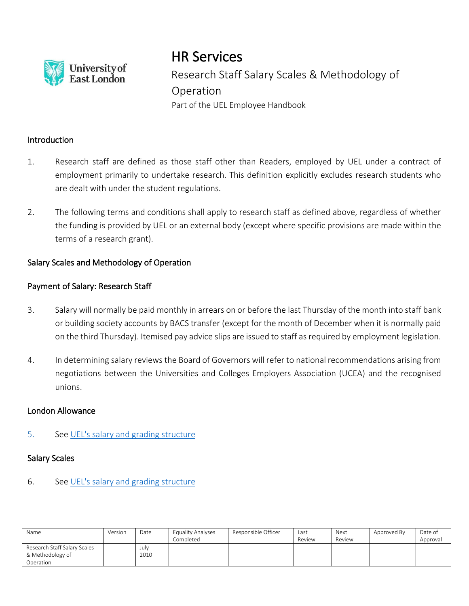

# HR Services

Research Staff Salary Scales & Methodology of Operation Part of the UEL Employee Handbook

# **Introduction**

- 1. Research staff are defined as those staff other than Readers, employed by UEL under a contract of employment primarily to undertake research. This definition explicitly excludes research students who are dealt with under the student regulations.
- 2. The following terms and conditions shall apply to research staff as defined above, regardless of whether the funding is provided by UEL or an external body (except where specific provisions are made within the terms of a research grant).

# Salary Scales and Methodology of Operation

# Payment of Salary: Research Staff

- 3. Salary will normally be paid monthly in arrears on or before the last Thursday of the month into staff bank or building society accounts by BACS transfer (except for the month of December when it is normally paid on the third Thursday). Itemised pay advice slips are issued to staff as required by employment legislation.
- 4. In determining salary reviews the Board of Governors will refer to national recommendations arising from negotiations between the Universities and Colleges Employers Association (UCEA) and the recognised unions.

#### London Allowance

#### 5. See [UEL's salary and grading structure](https://uelac.sharepoint.com/sites/hr/Shared%20Documents/Forms/AllItems.aspx?id=%2Fsites%2Fhr%2FShared%20Documents%2FPayroll%20Documents%2FStaff%20Payscale%20%2D%201%20August%202019%2Epdf&parent=%2Fsites%2Fhr%2FShared%20Documents%2FPayroll%20Documents)

#### Salary Scales

# 6. See [UEL's salary and grading structure](https://uelac.sharepoint.com/sites/hr/Shared%20Documents/Forms/AllItems.aspx?id=%2Fsites%2Fhr%2FShared%20Documents%2FPayroll%20Documents%2FStaff%20Payscale%20%2D%201%20August%202019%2Epdf&parent=%2Fsites%2Fhr%2FShared%20Documents%2FPayroll%20Documents)

| Name                         | Version | Date | <b>Equality Analyses</b><br>Completed | Responsible Officer | Last<br>Review | Next<br>Review | Approved By | Date of<br>Approval |
|------------------------------|---------|------|---------------------------------------|---------------------|----------------|----------------|-------------|---------------------|
| Research Staff Salary Scales |         | July |                                       |                     |                |                |             |                     |
| & Methodology of             |         | 2010 |                                       |                     |                |                |             |                     |
| Operation                    |         |      |                                       |                     |                |                |             |                     |